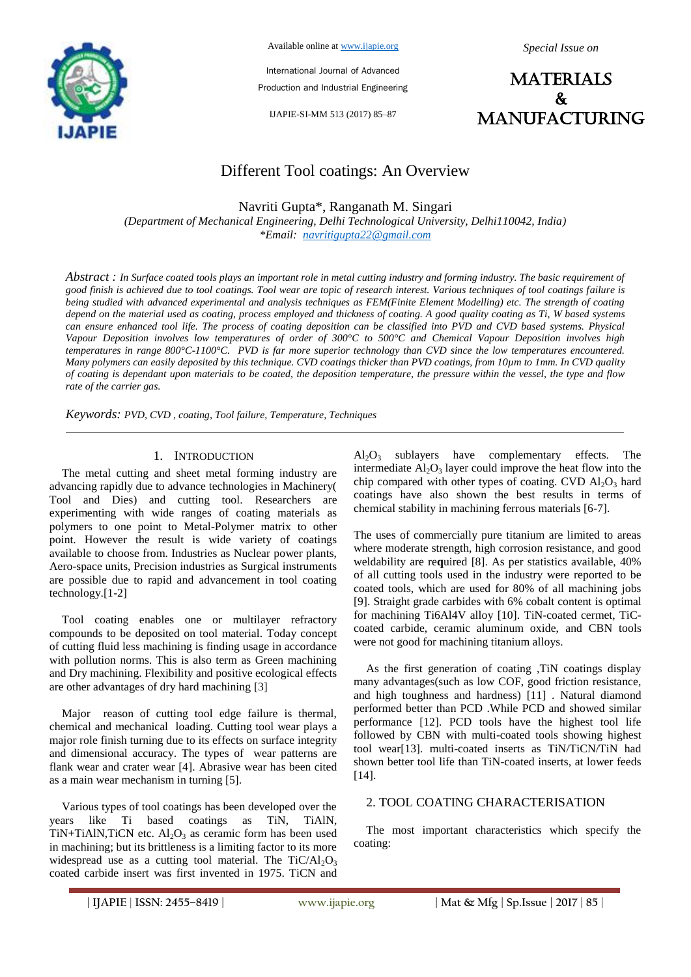

Available online at www.ijapie.org

*Special Issue on*

International Journal of Advanced Production and Industrial Engineering

IJAPIE-SI-MM 513 (2017) 85–87



# Different Tool coatings: An Overview

Navriti Gupta\*, Ranganath M. Singari

*(Department of Mechanical Engineering, Delhi Technological University, Delhi110042, India) \*Email: navritigupta22@gmail.com*

*Abstract : In Surface coated tools plays an important role in metal cutting industry and forming industry. The basic requirement of good finish is achieved due to tool coatings. Tool wear are topic of research interest. Various techniques of tool coatings failure is being studied with advanced experimental and analysis techniques as FEM(Finite Element Modelling) etc. The strength of coating depend on the material used as coating, process employed and thickness of coating. A good quality coating as Ti, W based systems can ensure enhanced tool life. The process of coating deposition can be classified into PVD and CVD based systems. Physical Vapour Deposition involves low temperatures of order of 300°C to 500°C and Chemical Vapour Deposition involves high temperatures in range 800°C-1100°C. PVD is far more superior technology than CVD since the low temperatures encountered. Many polymers can easily deposited by this technique. CVD coatings thicker than PVD coatings, from 10µm to 1mm. In CVD quality of coating is dependant upon materials to be coated, the deposition temperature, the pressure within the vessel, the type and flow rate of the carrier gas.*

*Keywords: PVD, CVD , coating, Tool failure, Temperature, Techniques*

#### 1. INTRODUCTION

The metal cutting and sheet metal forming industry are advancing rapidly due to advance technologies in Machinery( Tool and Dies) and cutting tool. Researchers are experimenting with wide ranges of coating materials as polymers to one point to Metal-Polymer matrix to other point. However the result is wide variety of coatings available to choose from. Industries as Nuclear power plants, Aero-space units, Precision industries as Surgical instruments are possible due to rapid and advancement in tool coating technology.[1-2]

Tool coating enables one or multilayer refractory compounds to be deposited on tool material. Today concept of cutting fluid less machining is finding usage in accordance with pollution norms. This is also term as Green machining and Dry machining. Flexibility and positive ecological effects are other advantages of dry hard machining [3]

Major reason of cutting tool edge failure is thermal, chemical and mechanical loading. Cutting tool wear plays a major role finish turning due to its effects on surface integrity and dimensional accuracy. The types of wear patterns are flank wear and crater wear [4]. Abrasive wear has been cited as a main wear mechanism in turning [5].

Various types of tool coatings has been developed over the years like Ti based coatings as TiN, TiAlN, TiN+TiAlN,TiCN etc.  $Al_2O_3$  as ceramic form has been used in machining; but its brittleness is a limiting factor to its more widespread use as a cutting tool material. The  $TiC/Al<sub>2</sub>O<sub>3</sub>$ coated carbide insert was first invented in 1975. TiCN and

 $Al_2O_3$  sublayers have complementary effects. The intermediate  $Al_2O_3$  layer could improve the heat flow into the chip compared with other types of coating. CVD  $Al_2O_3$  hard coatings have also shown the best results in terms of chemical stability in machining ferrous materials [6-7].

The uses of commercially pure titanium are limited to areas where moderate strength, high corrosion resistance, and good weldability are re**q**uired [8]. As per statistics available, 40% of all cutting tools used in the industry were reported to be coated tools, which are used for 80% of all machining jobs [9]. Straight grade carbides with 6% cobalt content is optimal for machining Ti6Al4V alloy [10]. TiN-coated cermet, TiCcoated carbide, ceramic aluminum oxide, and CBN tools were not good for machining titanium alloys.

As the first generation of coating ,TiN coatings display many advantages(such as low COF, good friction resistance, and high toughness and hardness) [11] . Natural diamond performed better than PCD .While PCD and showed similar performance [12]. PCD tools have the highest tool life followed by CBN with multi-coated tools showing highest tool wear[13]. multi-coated inserts as TiN/TiCN/TiN had shown better tool life than TiN-coated inserts, at lower feeds [14].

#### 2. TOOL COATING CHARACTERISATION

The most important characteristics which specify the coating: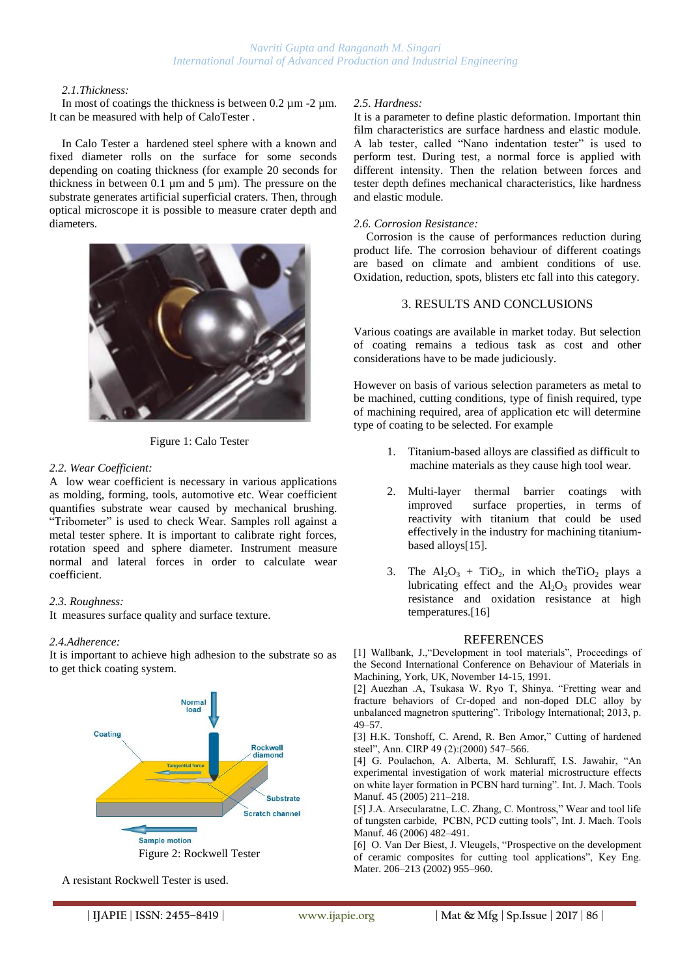#### *2.1.Thickness:*

In most of coatings the thickness is between  $0.2 \mu m$  -2  $\mu m$ . It can be measured with help of CaloTester .

In Calo Tester a hardened steel sphere with a known and fixed diameter rolls on the surface for some seconds depending on coating thickness (for example 20 seconds for thickness in between 0.1 µm and 5 µm). The pressure on the substrate generates artificial superficial craters. Then, through optical microscope it is possible to measure crater depth and diameters.



Figure 1: Calo Tester

#### *2.2. Wear Coefficient:*

A low wear coefficient is necessary in various applications as molding, forming, tools, automotive etc. Wear coefficient quantifies substrate wear caused by mechanical brushing. "Tribometer" is used to check Wear. Samples roll against a metal tester sphere. It is important to calibrate right forces, rotation speed and sphere diameter. Instrument measure normal and lateral forces in order to calculate wear coefficient.

## *2.3. Roughness:*

It measures surface quality and surface texture.

#### *2.4.Adherence:*

It is important to achieve high adhesion to the substrate so as to get thick coating system.



A resistant Rockwell Tester is used.

#### *2.5. Hardness:*

It is a parameter to define plastic deformation. Important thin film characteristics are surface hardness and elastic module. A lab tester, called "Nano indentation tester" is used to perform test. During test, a normal force is applied with different intensity. Then the relation between forces and tester depth defines mechanical characteristics, like hardness and elastic module.

#### *2.6. Corrosion Resistance:*

Corrosion is the cause of performances reduction during product life. The corrosion behaviour of different coatings are based on climate and ambient conditions of use. Oxidation, reduction, spots, blisters etc fall into this category.

# 3. RESULTS AND CONCLUSIONS

Various coatings are available in market today. But selection of coating remains a tedious task as cost and other considerations have to be made judiciously.

However on basis of various selection parameters as metal to be machined, cutting conditions, type of finish required, type of machining required, area of application etc will determine type of coating to be selected. For example

- 1. Titanium-based alloys are classified as difficult to machine materials as they cause high tool wear.
- 2. Multi-layer thermal barrier coatings with improved surface properties, in terms of reactivity with titanium that could be used effectively in the industry for machining titaniumbased alloys[15].
- 3. The  $Al_2O_3$  + TiO<sub>2</sub>, in which the TiO<sub>2</sub> plays a lubricating effect and the  $Al_2O_3$  provides wear resistance and oxidation resistance at high temperatures.[16]

## REFERENCES

[1] Wallbank, J., "Development in tool materials", Proceedings of the Second International Conference on Behaviour of Materials in Machining, York, UK, November 14-15, 1991.

[2] Auezhan .A, Tsukasa W. Ryo T, Shinya. "Fretting wear and fracture behaviors of Cr-doped and non-doped DLC alloy by unbalanced magnetron sputtering". Tribology International; 2013, p. 49–57.

[3] H.K. Tonshoff, C. Arend, R. Ben Amor," Cutting of hardened steel", Ann. ClRP 49 (2):(2000) 547-566.

[4] G. Poulachon, A. Alberta, M. Schluraff, I.S. Jawahir, "An experimental investigation of work material microstructure effects on white layer formation in PCBN hard turning". Int. J. Mach. Tools Manuf. 45 (2005) 211–218.

[5] J.A. Arsecularatne, L.C. Zhang, C. Montross," Wear and tool life of tungsten carbide, PCBN, PCD cutting tools", Int. J. Mach. Tools Manuf. 46 (2006) 482–491.

[6] O. Van Der Biest, J. Vleugels, "Prospective on the development" of ceramic composites for cutting tool applications", Key Eng. Mater. 206–213 (2002) 955–960.